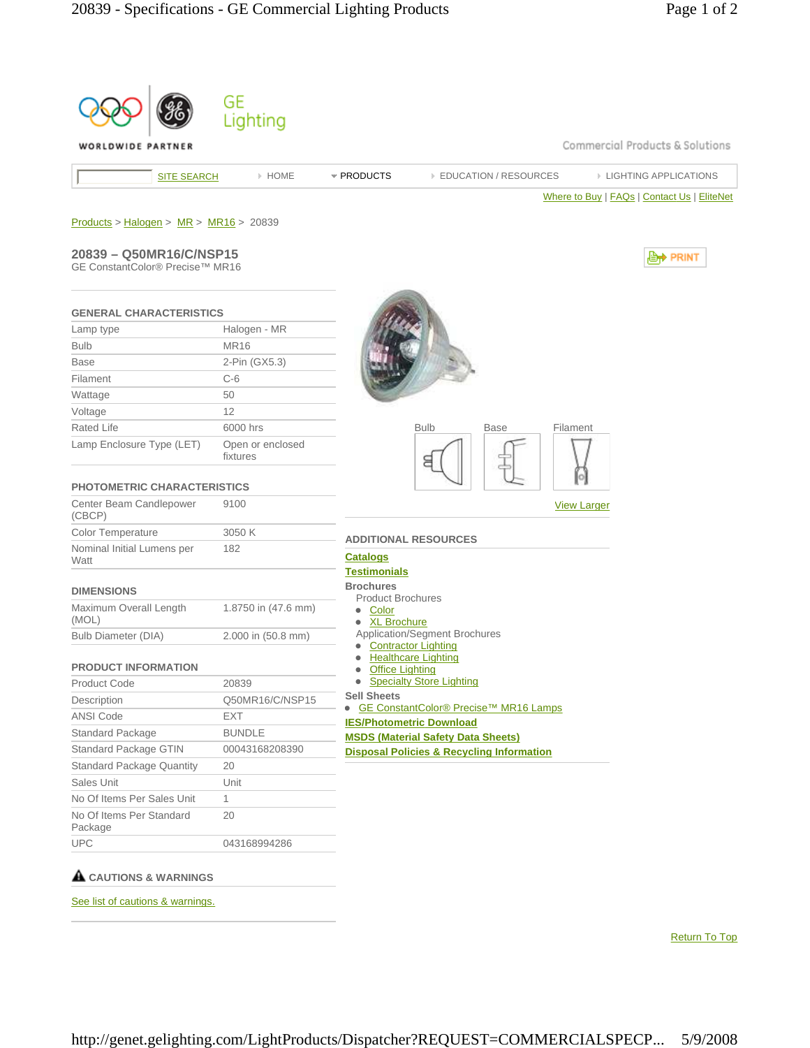| WORLDWIDE PARTNER                        |                              | Commercial Products & Solutions                                            |
|------------------------------------------|------------------------------|----------------------------------------------------------------------------|
| <b>SITE SEARCH</b>                       | > HOME                       | <b>EDUCATION / RESOURCES</b><br><b>EIGHTING APPLICATIONS</b><br>* PRODUCTS |
|                                          |                              | Where to Buy   FAQs   Contact Us   EliteNet                                |
|                                          |                              |                                                                            |
| $Products > Halogen > MR > MR16 > 20839$ |                              |                                                                            |
| 20839 - Q50MR16/C/NSP15                  |                              | , PRINT                                                                    |
| GE ConstantColor® Precise™ MR16          |                              |                                                                            |
|                                          |                              |                                                                            |
| <b>GENERAL CHARACTERISTICS</b>           |                              |                                                                            |
| Lamp type                                | Halogen - MR                 |                                                                            |
| <b>Bulb</b>                              | <b>MR16</b>                  |                                                                            |
| <b>Base</b>                              | 2-Pin (GX5.3)                |                                                                            |
| Filament                                 | $C-6$                        |                                                                            |
| Wattage                                  | 50                           |                                                                            |
| Voltage                                  | 12                           |                                                                            |
| Rated Life                               | 6000 hrs                     | <b>Bulb</b><br><b>Base</b><br>Filament                                     |
| Lamp Enclosure Type (LET)                | Open or enclosed<br>fixtures | 8                                                                          |
|                                          |                              |                                                                            |
| <b>PHOTOMETRIC CHARACTERISTICS</b>       |                              |                                                                            |
| Center Beam Candlepower<br>(CBCP)        | 9100                         | <b>View Larger</b>                                                         |
| <b>Color Temperature</b>                 | 3050 K                       | <b>ADDITIONAL RESOURCES</b>                                                |
| Nominal Initial Lumens per               | 182                          | <b>Catalogs</b>                                                            |
| Watt                                     |                              | <b>Testimonials</b>                                                        |
| <b>DIMENSIONS</b>                        |                              | <b>Brochures</b>                                                           |
| Maximum Overall Length                   | 1.8750 in (47.6 mm)          | <b>Product Brochures</b><br>• Color                                        |
| (MOL)                                    |                              | • XL Brochure                                                              |
| Bulb Diameter (DIA)                      | 2.000 in (50.8 mm)           | Application/Segment Brochures                                              |
|                                          |                              | <b>Contractor Lighting</b><br><b>Healthcare Lighting</b>                   |
| <b>PRODUCT INFORMATION</b>               |                              | <b>Office Lighting</b>                                                     |
| <b>Product Code</b>                      | 20839                        | • Specialty Store Lighting                                                 |
| Description                              | Q50MR16/C/NSP15              | <b>Sell Sheets</b><br>GE ConstantColor® Precise™ MR16 Lamps<br>$\bullet$   |
| <b>ANSI Code</b>                         | EXT                          | <b>IES/Photometric Download</b>                                            |
| Standard Package                         | <b>BUNDLE</b>                | <b>MSDS (Material Safety Data Sheets)</b>                                  |
| Standard Package GTIN                    | 00043168208390               | <b>Disposal Policies &amp; Recycling Information</b>                       |
| <b>Standard Package Quantity</b>         | 20                           |                                                                            |
| Sales Unit                               | Unit                         |                                                                            |
| No Of Items Per Sales Unit               | $\mathbf{1}$                 |                                                                            |
| No Of Items Per Standard                 | 20                           |                                                                            |
| Package                                  |                              |                                                                            |

Return To Top